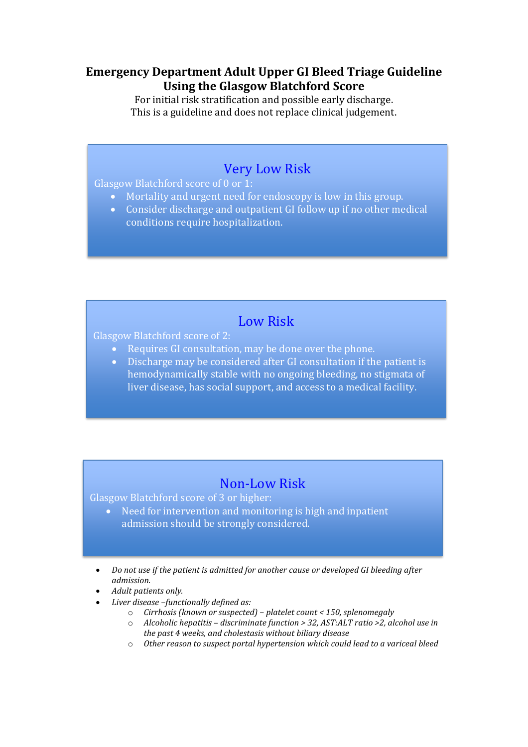## **Emergency Department Adult Upper GI Bleed Triage Guideline Using the Glasgow Blatchford Score**

For initial risk stratification and possible early discharge. This is a guideline and does not replace clinical judgement.

## Very Low Risk

Glasgow Blatchford score of 0 or 1:

- Mortality and urgent need for endoscopy is low in this group.
- Consider discharge and outpatient GI follow up if no other medical conditions require hospitalization.

## Low Risk

Glasgow Blatchford score of 2:

- Requires GI consultation, may be done over the phone.
- Discharge may be considered after GI consultation if the patient is hemodynamically stable with no ongoing bleeding, no stigmata of liver disease, has social support, and access to a medical facility.

## Non-Low Risk

Glasgow Blatchford score of 3 or higher:

- Need for intervention and monitoring is high and inpatient admission should be strongly considered.
- *Do not use if the patient is admitted for another cause or developed GI bleeding after admission.*
- *Adult patients only.*
- *Liver disease –functionally defined as:* 
	- o *Cirrhosis (known or suspected) – platelet count < 150, splenomegaly*
	- o *Alcoholic hepatitis – discriminate function > 32, AST:ALT ratio >2, alcohol use in the past 4 weeks, and cholestasis without biliary disease*
	- o *Other reason to suspect portal hypertension which could lead to a variceal bleed*